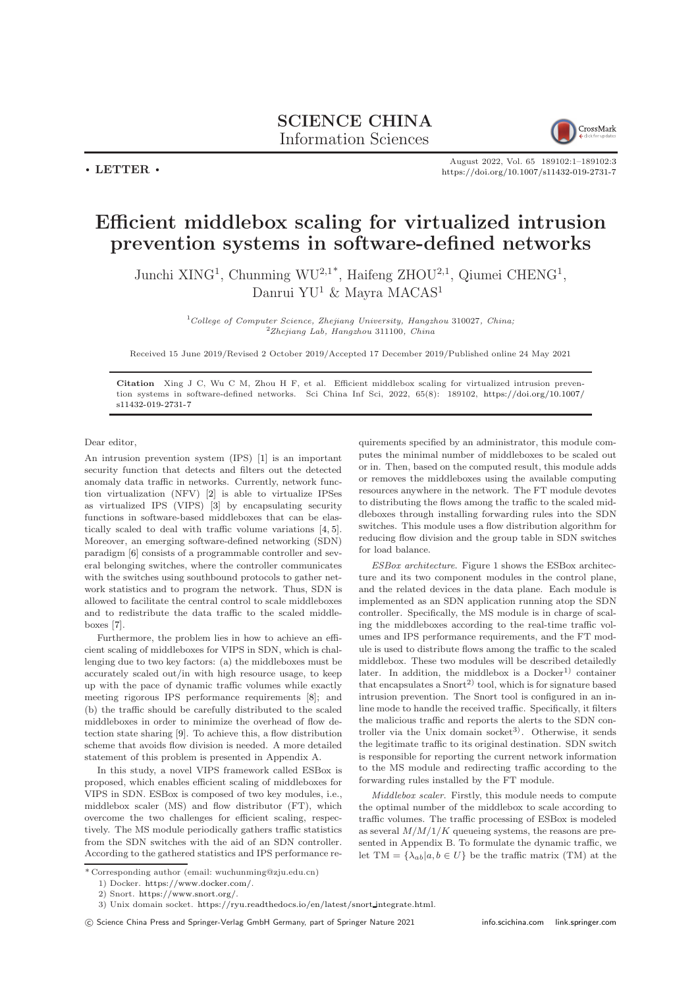## SCIENCE CHINA Information Sciences



 $\cdot$  LETTER  $\cdot$ 

August 2022, Vol. 65 189102:1–189102[:3](#page-2-0) <https://doi.org/10.1007/s11432-019-2731-7>

## Efficient middlebox scaling for virtualized intrusion prevention systems in software-defined networks

Junchi XING<sup>1</sup>, Chunming WU<sup>2,1\*</sup>, Haifeng ZHOU<sup>2,1</sup>, Qiumei CHENG<sup>1</sup>, Danrui YU<sup>1</sup> & Mayra MACAS<sup>1</sup>

> $1$ College of Computer Science, Zhejiang University, Hangzhou 310027, China;  $2$ Zhejiang Lab, Hangzhou 311100, China

Received 15 June 2019/Revised 2 October 2019/Accepted 17 December 2019/Published online 24 May 2021

Citation Xing J C, Wu C M, Zhou H F, et al. Efficient middlebox scaling for virtualized intrusion prevention systems in software-defined networks. Sci China Inf Sci, 2022, 65(8): 189102, [https://doi.org/10.1007/](https://doi.org/10.1007/s11432-019-2731-7) [s11432-019-2731-7](https://doi.org/10.1007/s11432-019-2731-7)

Dear editor,

An intrusion prevention system (IPS) [\[1\]](#page-2-1) is an important security function that detects and filters out the detected anomaly data traffic in networks. Currently, network function virtualization (NFV) [\[2\]](#page-2-2) is able to virtualize IPSes as virtualized IPS (VIPS) [\[3\]](#page-2-3) by encapsulating security functions in software-based middleboxes that can be elastically scaled to deal with traffic volume variations [\[4,](#page-2-4) [5\]](#page-2-5). Moreover, an emerging software-defined networking (SDN) paradigm [\[6\]](#page-2-6) consists of a programmable controller and several belonging switches, where the controller communicates with the switches using southbound protocols to gather network statistics and to program the network. Thus, SDN is allowed to facilitate the central control to scale middleboxes and to redistribute the data traffic to the scaled middleboxes [\[7\]](#page-2-7).

Furthermore, the problem lies in how to achieve an efficient scaling of middleboxes for VIPS in SDN, which is challenging due to two key factors: (a) the middleboxes must be accurately scaled out/in with high resource usage, to keep up with the pace of dynamic traffic volumes while exactly meeting rigorous IPS performance requirements [\[8\]](#page-2-8); and (b) the traffic should be carefully distributed to the scaled middleboxes in order to minimize the overhead of flow detection state sharing [\[9\]](#page-2-9). To achieve this, a flow distribution scheme that avoids flow division is needed. A more detailed statement of this problem is presented in Appendix A.

In this study, a novel VIPS framework called ESBox is proposed, which enables efficient scaling of middleboxes for VIPS in SDN. ESBox is composed of two key modules, i.e., middlebox scaler (MS) and flow distributor (FT), which overcome the two challenges for efficient scaling, respectively. The MS module periodically gathers traffic statistics from the SDN switches with the aid of an SDN controller. According to the gathered statistics and IPS performance requirements specified by an administrator, this module computes the minimal number of middleboxes to be scaled out or in. Then, based on the computed result, this module adds or removes the middleboxes using the available computing resources anywhere in the network. The FT module devotes to distributing the flows among the traffic to the scaled middleboxes through installing forwarding rules into the SDN switches. This module uses a flow distribution algorithm for reducing flow division and the group table in SDN switches for load balance.

ESBox architecture. Figure 1 shows the ESBox architecture and its two component modules in the control plane, and the related devices in the data plane. Each module is implemented as an SDN application running atop the SDN controller. Specifically, the MS module is in charge of scaling the middleboxes according to the real-time traffic volumes and IPS performance requirements, and the FT module is used to distribute flows among the traffic to the scaled middlebox. These two modules will be described detailedly later. In addition, the middlebox is a  $Doker<sup>1</sup>$  container that encapsulates a  $Snort<sup>2</sup>$  tool, which is for signature based intrusion prevention. The Snort tool is configured in an inline mode to handle the received traffic. Specifically, it filters the malicious traffic and reports the alerts to the SDN controller via the Unix domain socket<sup>3</sup>). Otherwise, it sends the legitimate traffic to its original destination. SDN switch is responsible for reporting the current network information to the MS module and redirecting traffic according to the forwarding rules installed by the FT module.

Middlebox scaler. Firstly, this module needs to compute the optimal number of the middlebox to scale according to traffic volumes. The traffic processing of ESBox is modeled as several  $M/M/1/K$  queueing systems, the reasons are presented in Appendix B. To formulate the dynamic traffic, we let TM = { $\lambda_{ab}|a, b \in U$ } be the traffic matrix (TM) at the

<sup>\*</sup> Corresponding author (email: wuchunming@zju.edu.cn)

<sup>1)</sup> Docker. [https://www.docker.com/.](https://www.docker.com/)

<sup>2)</sup> Snort. [https://www.snort.org/.](https://www.snort.org/)

<sup>3)</sup> Unix domain socket. [https://ryu.readthedocs.io/en/latest/snort](https://ryu.readthedocs.io/en/latest/snort_integrate.html) integrate.html.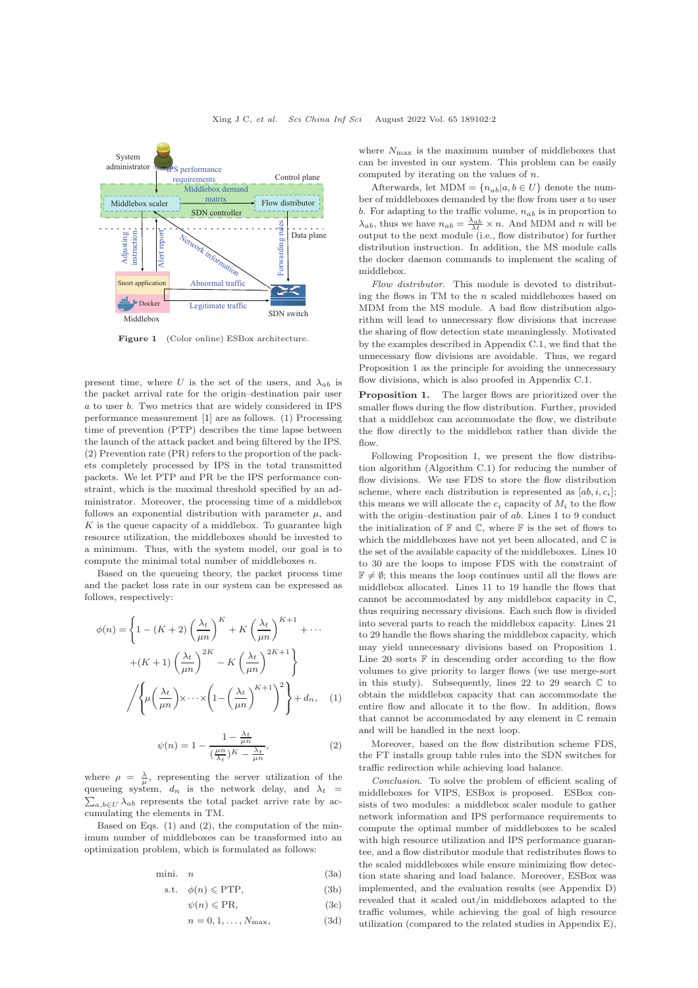

Figure 1 (Color online) ESBox architecture.

present time, where U is the set of the users, and  $\lambda_{ab}$  is the packet arrival rate for the origin–destination pair user a to user b. Two metrics that are widely considered in IPS performance measurement [\[1\]](#page-2-1) are as follows. (1) Processing time of prevention (PTP) describes the time lapse between the launch of the attack packet and being filtered by the IPS. (2) Prevention rate (PR) refers to the proportion of the packets completely processed by IPS in the total transmitted packets. We let PTP and PR be the IPS performance constraint, which is the maximal threshold specified by an administrator. Moreover, the processing time of a middlebox follows an exponential distribution with parameter  $\mu$ , and  $K$  is the queue capacity of a middlebox. To guarantee high resource utilization, the middleboxes should be invested to a minimum. Thus, with the system model, our goal is to compute the minimal total number of middleboxes  $n$ .

Based on the queueing theory, the packet process time and the packet loss rate in our system can be expressed as follows, respectively:

$$
\phi(n) = \left\{ 1 - (K+2) \left( \frac{\lambda_t}{\mu n} \right)^K + K \left( \frac{\lambda_t}{\mu n} \right)^{K+1} + \cdots + (K+1) \left( \frac{\lambda_t}{\mu n} \right)^{2K} - K \left( \frac{\lambda_t}{\mu n} \right)^{2K+1} \right\}
$$

$$
\sqrt{\left\{ \mu \left( \frac{\lambda_t}{\mu n} \right) \times \cdots \times \left( 1 - \left( \frac{\lambda_t}{\mu n} \right)^{K+1} \right)^2 \right\} + d_n, \quad (1)
$$

$$
\psi(n) = 1 - \frac{1 - \frac{\lambda_t}{\mu n}}{\left(\frac{\mu n}{\lambda_t}\right)K - \frac{\lambda_t}{\mu n}},\tag{2}
$$

where  $\rho = \frac{\lambda}{\mu}$ , representing the server utilization of the  $\sum_{a,b\in U} \lambda_{ab}$  represents the total packet arrive rate by acqueueing system,  $d_n$  is the network delay, and  $\lambda_t$  = cumulating the elements in TM.

Based on Eqs. (1) and (2), the computation of the minimum number of middleboxes can be transformed into an optimization problem, which is formulated as follows:

$$
mini. \quad n \tag{3a}
$$

$$
\text{s.t.} \quad \phi(n) \leqslant \text{PTP},\tag{3b}
$$

$$
\psi(n) \leqslant \text{PR},\tag{3c}
$$

$$
n = 0, 1, \dots, N_{\text{max}}, \tag{3d}
$$

where  $N_{\text{max}}$  is the maximum number of middleboxes that can be invested in our system. This problem can be easily computed by iterating on the values of  $n$ .

Afterwards, let MDM =  $\{n_{ab}|a, b \in U\}$  denote the number of middleboxes demanded by the flow from user  $a$  to user b. For adapting to the traffic volume,  $n_{ab}$  is in proportion to  $\lambda_{ab}$ , thus we have  $n_{ab} = \frac{\lambda_{ab}}{\lambda t} \times n$ . And MDM and n will be output to the next module (i.e., flow distributor) for further distribution instruction. In addition, the MS module calls the docker daemon commands to implement the scaling of middlebox.

Flow distributor. This module is devoted to distributing the flows in TM to the n scaled middleboxes based on MDM from the MS module. A bad flow distribution algorithm will lead to unnecessary flow divisions that increase the sharing of flow detection state meaninglessly. Motivated by the examples described in Appendix C.1, we find that the unnecessary flow divisions are avoidable. Thus, we regard Proposition 1 as the principle for avoiding the unnecessary flow divisions, which is also proofed in Appendix C.1.

Proposition 1. The larger flows are prioritized over the smaller flows during the flow distribution. Further, provided that a middlebox can accommodate the flow, we distribute the flow directly to the middlebox rather than divide the flow.

Following Proposition 1, we present the flow distribution algorithm (Algorithm C.1) for reducing the number of flow divisions. We use FDS to store the flow distribution scheme, where each distribution is represented as  $[ab, i, c_i]$ ; this means we will allocate the  $c_i$  capacity of  $M_i$  to the flow with the origin–destination pair of ab. Lines 1 to 9 conduct the initialization of  $\mathbb F$  and  $\mathbb C$ , where  $\mathbb F$  is the set of flows to which the middleboxes have not yet been allocated, and C is the set of the available capacity of the middleboxes. Lines 10 to 30 are the loops to impose FDS with the constraint of  $\mathbb{F} \neq \emptyset$ ; this means the loop continues until all the flows are middlebox allocated. Lines 11 to 19 handle the flows that cannot be accommodated by any middlebox capacity in C, thus requiring necessary divisions. Each such flow is divided into several parts to reach the middlebox capacity. Lines 21 to 29 handle the flows sharing the middlebox capacity, which may yield unnecessary divisions based on Proposition 1. Line 20 sorts  $\mathbb F$  in descending order according to the flow volumes to give priority to larger flows (we use merge-sort in this study). Subsequently, lines 22 to 29 search C to obtain the middlebox capacity that can accommodate the entire flow and allocate it to the flow. In addition, flows that cannot be accommodated by any element in C remain and will be handled in the next loop.

Moreover, based on the flow distribution scheme FDS, the FT installs group table rules into the SDN switches for traffic redirection while achieving load balance.

Conclusion. To solve the problem of efficient scaling of middleboxes for VIPS, ESBox is proposed. ESBox consists of two modules: a middlebox scaler module to gather network information and IPS performance requirements to compute the optimal number of middleboxes to be scaled with high resource utilization and IPS performance guarantee, and a flow distributor module that redistributes flows to the scaled middleboxes while ensure minimizing flow detection state sharing and load balance. Moreover, ESBox was implemented, and the evaluation results (see Appendix D) revealed that it scaled out/in middleboxes adapted to the traffic volumes, while achieving the goal of high resource utilization (compared to the related studies in Appendix E),